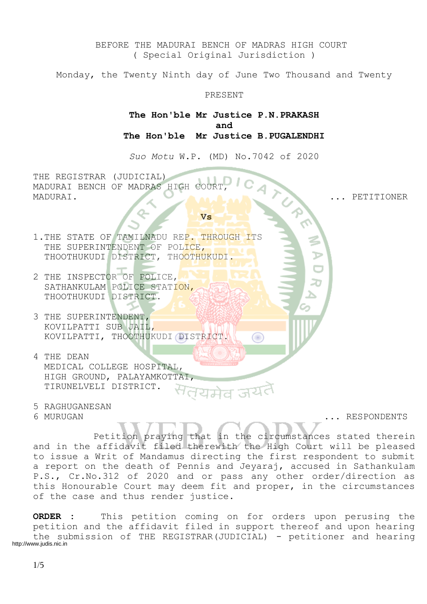BEFORE THE MADURAI BENCH OF MADRAS HIGH COURT ( Special Original Jurisdiction )

Monday, the Twenty Ninth day of June Two Thousand and Twenty

#### PRESENT

**The Hon'ble Mr Justice P.N.PRAKASH and The Hon'ble Mr Justice B.PUGALENDHI**

*Suo Motu* W.P. (MD) No.7042 of 2020

THE REGISTRAR (JUDICIAL) MADURAI BENCH OF MADRAS HIGH COURT MADURAI. ... PETITIONER

## **Vs**

- 1.THE STATE OF TAMILNADU REP. THROUGH ITS THE SUPERINTENDENT OF POLICE, THOOTHUKUDI DISTRICT, THOOTHUKUDI.
- 2 THE INSPECTOR OF POLICE, SATHANKULAM POLICE STATION, THOOTHUKUDI DISTRICT.
- 3 THE SUPERINTENDENT, KOVILPATTI SUB JAIL, KOVILPATTI, THOOTHUKUDI DISTRICT.
- 4 THE DEAN MEDICAL COLLEGE HOSPITAL, HIGH GROUND, PALAYAMKOTTAI, TIRUNELVELI DISTRICT.
- 5 RAGHUGANESAN

6 MURUGAN ... RESPONDENTS

Petition praying that in the circumstances stated therein and in the affidavit filed therewith the High Court will be pleased to issue a Writ of Mandamus directing the first respondent to submit a report on the death of Pennis and Jeyaraj, accused in Sathankulam P.S., Cr.No.312 of 2020 and or pass any other order/direction as this Honourable Court may deem fit and proper, in the circumstances of the case and thus render justice.

Œ

**ORDER :** This petition coming on for orders upon perusing the petition and the affidavit filed in support thereof and upon hearing the submission of THE REGISTRAR(JUDICIAL) - petitioner and hearing http://www.judis.nic.in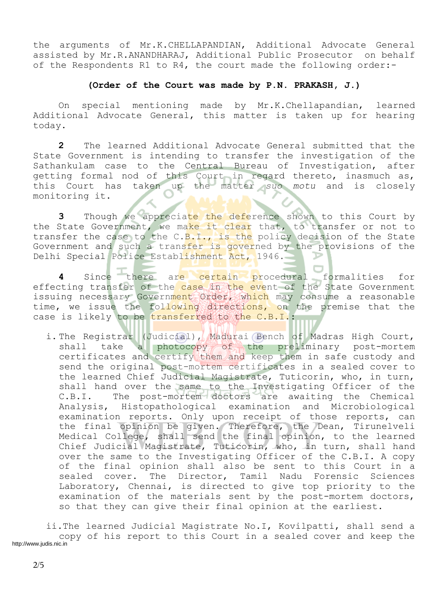the arguments of Mr.K.CHELLAPANDIAN, Additional Advocate General assisted by Mr.R.ANANDHARAJ, Additional Public Prosecutor on behalf of the Respondents R1 to R4, the court made the following order:-

#### **(Order of the Court was made by P.N. PRAKASH, J.)**

On special mentioning made by Mr.K.Chellapandian, learned Additional Advocate General, this matter is taken up for hearing today.

**2** The learned Additional Advocate General submitted that the State Government is intending to transfer the investigation of the Sathankulam case to the Central Bureau of Investigation, after getting formal nod of this Court in regard thereto, inasmuch as, this Court has taken up the matter *suo motu* and is closely monitoring it.

**3** Though we appreciate the deference shown to this Court by the State Government, we make it clear that, to transfer or not to transfer the case to the C.B.I., is the policy decision of the State Government and such a transfer is governed by the provisions of the Delhi Special Police Establishment Act, 1946.

**4** Since there are certain procedural formalities for effecting transfer of the case in the event of the State Government issuing necessary Government Order, which may consume a reasonable time, we issue the following directions, on the premise that the case is likely to be transferred to the C.B.I.:

i. The Registrar (Judicial), Madurai Bench of Madras High Court, shall take a photocopy of the preliminary post-mortem certificates and certify them and keep them in safe custody and send the original post-mortem certificates in a sealed cover to the learned Chief Judicial Magistrate, Tuticorin, who, in turn, shall hand over the same to the Investigating Officer of the C.B.I. The post-mortem doctors are awaiting the Chemical Analysis, Histopathological examination and Microbiological examination reports. Only upon receipt of those reports, can the final opinion be given. Therefore, the Dean, Tirunelveli Medical College, shall send the final opinion, to the learned Chief Judicial Magistrate, Tuticorin, who, in turn, shall hand over the same to the Investigating Officer of the C.B.I. A copy of the final opinion shall also be sent to this Court in a sealed cover. The Director, Tamil Nadu Forensic Sciences Laboratory, Chennai, is directed to give top priority to the examination of the materials sent by the post-mortem doctors, so that they can give their final opinion at the earliest.

ii.The learned Judicial Magistrate No.I, Kovilpatti, shall send a copy of his report to this Court in a sealed cover and keep the http://www.judis.nic.in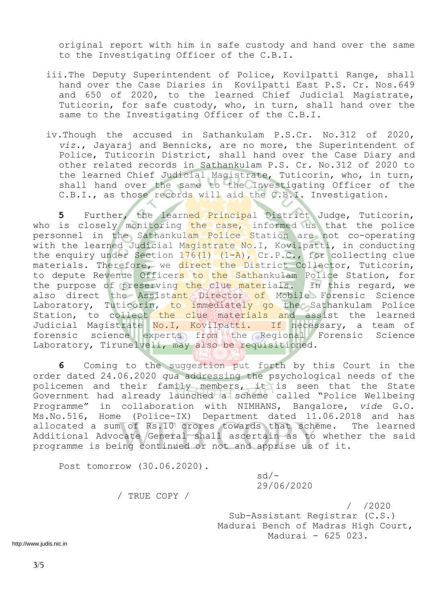original report with him in safe custody and hand over the same to the Investigating Officer of the C.B.I.

- iii.The Deputy Superintendent of Police, Kovilpatti Range, shall hand over the Case Diaries in Kovilpatti East P.S. Cr. Nos.649 and 650 of 2020, to the learned Chief Judicial Magistrate, Tuticorin, for safe custody, who, in turn, shall hand over the same to the Investigating Officer of the C.B.I.
- iv.Though the accused in Sathankulam P.S.Cr. No.312 of 2020, *viz*., Jayaraj and Bennicks, are no more, the Superintendent of Police, Tuticorin District, shall hand over the Case Diary and other related records in Sathankulam P.S. Cr. No.312 of 2020 to the learned Chief Judicial Magistrate, Tuticorin, who, in turn, shall hand over the same to the Investigating Officer of the C.B.I., as those records will aid the C.B.I. Investigation.

**5** Further, the learned Principal District Judge, Tuticorin, who is closely monitoring the case, informed us that the police personnel in the Sathankulam Police Station are not co-operating with the learned Judicial Magistrate No. I, Kovilpatti, in conducting the enquiry under Section  $176(1)$   $(1-A)$ , Cr.P.C., for collecting clue materials. Therefore, we direct the District Collector, Tuticorin, to depute Revenue Officers to the Sathankulam Police Station, for the purpose of preserving the clue materials. In this regard, we also direct the Assistant Director of Mobile Forensic Science Laboratory, Tuticorin, to immediately go the Sathankulam Police Station, to collect the clue materials and assist the learned Judicial Magistrate No. I, Kovilpatti. If necessary, a team of forensic science experts from the Regional Forensic Science Laboratory, Tirunelveli, may also be requisitioned.

**6** Coming to the suggestion put forth by this Court in the order dated 24.06.2020 *qua* addressing the psychological needs of the policemen and their family members, it is seen that the State Government had already launched a scheme called "Police Wellbeing Programme" in collaboration with NIMHANS, Bangalore, *vide* G.O. Ms.No.516, Home (Police-IX) Department dated 11.06.2018 and has allocated a sum of Rs.10 crores towards that scheme. The learned Additional Advocate General shall ascertain as to whether the said programme is being continued or not and apprise us of it.

Post tomorrow (30.06.2020).

 sd/- 29/06/2020

/ TRUE COPY /

 / /2020 Sub-Assistant Registrar (C.S.) Madurai Bench of Madras High Court, Madurai - 625 023.

http://www.judis.nic.in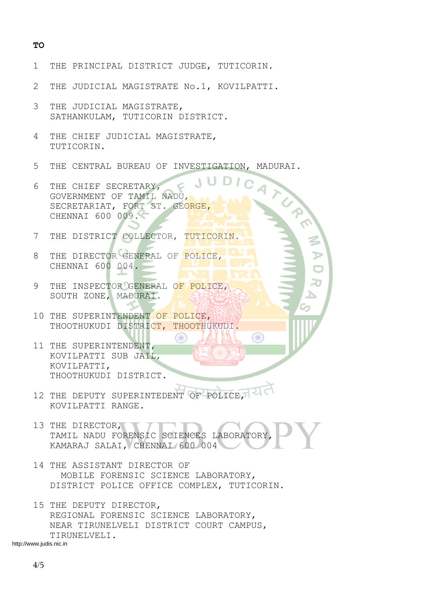#### **TO**

- 1 THE PRINCIPAL DISTRICT JUDGE, TUTICORIN.
- 2 THE JUDICIAL MAGISTRATE No.1, KOVILPATTI.
- 3 THE JUDICIAL MAGISTRATE, SATHANKULAM, TUTICORIN DISTRICT.
- 4 THE CHIEF JUDICIAL MAGISTRATE, TUTICORIN.
- 5 THE CENTRAL BUREAU OF INVESTIGATION, MADURAI.
- 6 THE CHIEF SECRETARY, GOVERNMENT OF TAMIL NADU, SECRETARIAT, FORT ST. GEORGE, CHENNAI 600 009.
- 7 THE DISTRICT COLLECTOR, TUTICORIN.
- 8 THE DIRECTOR GENERAL OF POLICE, CHENNAI 600 004.
- 9 THE INSPECTOR GENERAL OF POLICE, SOUTH ZONE, MADURAI.
- 10 THE SUPERINTENDENT OF POLICE, THOOTHUKUDI DISTRICT, THOOTHUKUDI.
- 11 THE SUPERINTENDENT, KOVILPATTI SUB JAIL, KOVILPATTI, THOOTHUKUDI DISTRICT.
- 12 THE DEPUTY SUPERINTEDENT OF POLICE, KOVILPATTI RANGE
- 13 THE DIRECTOR, TAMIL NADU FORENSIC SCIENCES LABORATORY KAMARAJ SALAI, CHENNAI 600 004

₩

- 14 THE ASSISTANT DIRECTOR OF MOBILE FORENSIC SCIENCE LABORATORY, DISTRICT POLICE OFFICE COMPLEX, TUTICORIN.
- 15 THE DEPUTY DIRECTOR, REGIONAL FORENSIC SCIENCE LABORATORY, NEAR TIRUNELVELI DISTRICT COURT CAMPUS, TIRUNELVELI.

http://www.judis.nic.in